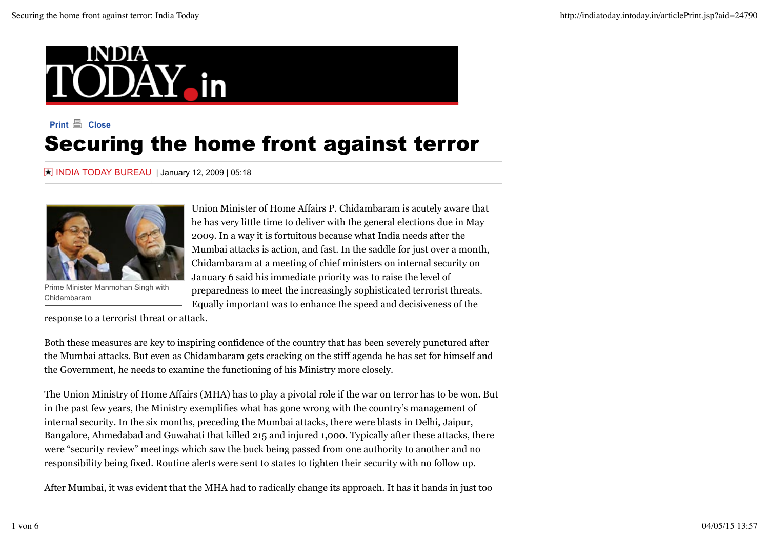# $DDAY$  in

# **Print A** Close Securing the home front against terror

INDIA TODAY BUREAU | January 12, 2009 | 05:18



Union Minister of Home Affairs P. Chidambaram is acutely aware that he has very little time to deliver with the general elections due in May 2009. In a way it is fortuitous because what India needs after the Mumbai attacks is action, and fast. In the saddle for just over a month, Chidambaram at a meeting of chief ministers on internal security on January 6 said his immediate priority was to raise the level of preparedness to meet the increasingly sophisticated terrorist threats. Equally important was to enhance the speed and decisiveness of the

Prime Minister Manmohan Singh with Chidambaram

response to a terrorist threat or attack.

Both these measures are key to inspiring confidence of the country that has been severely punctured after the Mumbai attacks. But even as Chidambaram gets cracking on the stiff agenda he has set for himself and the Government, he needs to examine the functioning of his Ministry more closely.

The Union Ministry of Home Affairs (MHA) has to play a pivotal role if the war on terror has to be won. But in the past few years, the Ministry exemplifies what has gone wrong with the country's management of internal security. In the six months, preceding the Mumbai attacks, there were blasts in Delhi, Jaipur, Bangalore, Ahmedabad and Guwahati that killed 215 and injured 1,000. Typically after these attacks, there were "security review" meetings which saw the buck being passed from one authority to another and no responsibility being fixed. Routine alerts were sent to states to tighten their security with no follow up.

After Mumbai, it was evident that the MHA had to radically change its approach. It has it hands in just too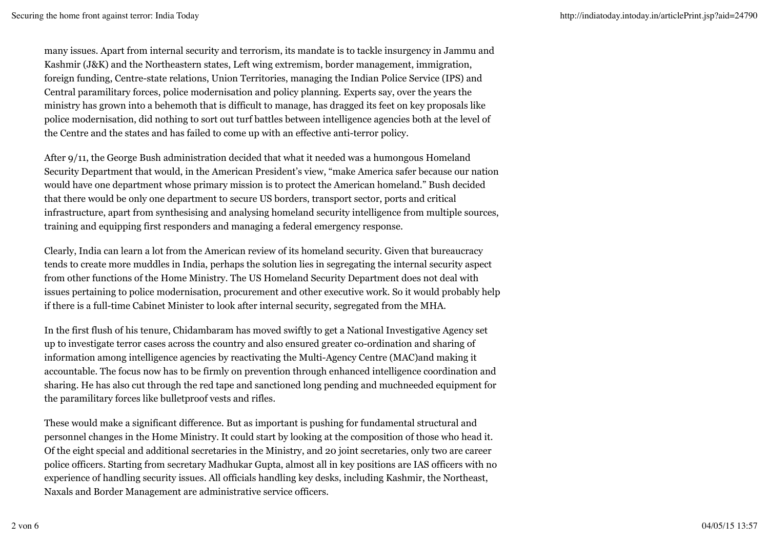many issues. Apart from internal security and terrorism, its mandate is to tackle insurgency in Jammu and Kashmir (J&K) and the Northeastern states, Left wing extremism, border management, immigration, foreign funding, Centre-state relations, Union Territories, managing the Indian Police Service (IPS) and Central paramilitary forces, police modernisation and policy planning. Experts say, over the years the ministry has grown into a behemoth that is difficult to manage, has dragged its feet on key proposals like police modernisation, did nothing to sort out turf battles between intelligence agencies both at the level of the Centre and the states and has failed to come up with an effective anti-terror policy.

After 9/11, the George Bush administration decided that what it needed was a humongous Homeland Security Department that would, in the American President's view, "make America safer because our nation would have one department whose primary mission is to protect the American homeland." Bush decided that there would be only one department to secure US borders, transport sector, ports and critical infrastructure, apart from synthesising and analysing homeland security intelligence from multiple sources, training and equipping first responders and managing a federal emergency response.

Clearly, India can learn a lot from the American review of its homeland security. Given that bureaucracy tends to create more muddles in India, perhaps the solution lies in segregating the internal security aspect from other functions of the Home Ministry. The US Homeland Security Department does not deal with issues pertaining to police modernisation, procurement and other executive work. So it would probably help if there is a full-time Cabinet Minister to look after internal security, segregated from the MHA.

In the first flush of his tenure, Chidambaram has moved swiftly to get a National Investigative Agency set up to investigate terror cases across the country and also ensured greater co-ordination and sharing of information among intelligence agencies by reactivating the Multi-Agency Centre (MAC)and making it accountable. The focus now has to be firmly on prevention through enhanced intelligence coordination and sharing. He has also cut through the red tape and sanctioned long pending and muchneeded equipment for the paramilitary forces like bulletproof vests and rifles.

These would make a significant difference. But as important is pushing for fundamental structural and personnel changes in the Home Ministry. It could start by looking at the composition of those who head it. Of the eight special and additional secretaries in the Ministry, and 20 joint secretaries, only two are career police officers. Starting from secretary Madhukar Gupta, almost all in key positions are IAS officers with no experience of handling security issues. All officials handling key desks, including Kashmir, the Northeast, Naxals and Border Management are administrative service officers.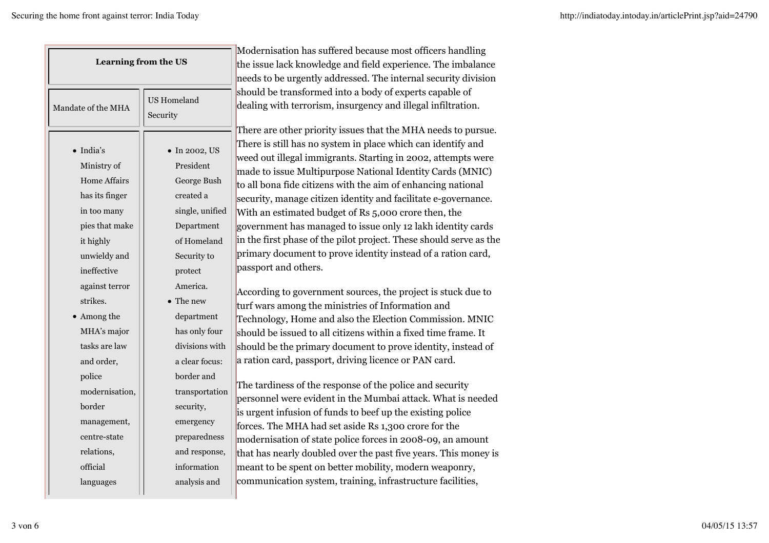| Learning from the US                                                                                                                                                                                                                                                                                                                      |                                                                                                                                                                                                                                                                                                                                                        | Modernisation has suffered because most officers handling<br>the issue lack knowledge and field experience. The imbalance<br>needs to be urgently addressed. The internal security division                                                                                                                                                                                                                                                                                                                                                                                                                                                                                                                                                                                                                                                                                                                                                                                                                                                                                                                                                                                                                                                                                                                                                                                                                                                                                                              |
|-------------------------------------------------------------------------------------------------------------------------------------------------------------------------------------------------------------------------------------------------------------------------------------------------------------------------------------------|--------------------------------------------------------------------------------------------------------------------------------------------------------------------------------------------------------------------------------------------------------------------------------------------------------------------------------------------------------|----------------------------------------------------------------------------------------------------------------------------------------------------------------------------------------------------------------------------------------------------------------------------------------------------------------------------------------------------------------------------------------------------------------------------------------------------------------------------------------------------------------------------------------------------------------------------------------------------------------------------------------------------------------------------------------------------------------------------------------------------------------------------------------------------------------------------------------------------------------------------------------------------------------------------------------------------------------------------------------------------------------------------------------------------------------------------------------------------------------------------------------------------------------------------------------------------------------------------------------------------------------------------------------------------------------------------------------------------------------------------------------------------------------------------------------------------------------------------------------------------------|
| Mandate of the MHA                                                                                                                                                                                                                                                                                                                        | <b>US Homeland</b><br>Security                                                                                                                                                                                                                                                                                                                         | should be transformed into a body of experts capable of<br>dealing with terrorism, insurgency and illegal infiltration.                                                                                                                                                                                                                                                                                                                                                                                                                                                                                                                                                                                                                                                                                                                                                                                                                                                                                                                                                                                                                                                                                                                                                                                                                                                                                                                                                                                  |
| $\bullet$ India's<br>Ministry of<br>Home Affairs<br>has its finger<br>in too many<br>pies that make<br>it highly<br>unwieldy and<br>ineffective<br>against terror<br>strikes.<br>• Among the<br>MHA's major<br>tasks are law<br>and order,<br>police<br>modernisation,<br>border<br>management,<br>centre-state<br>relations,<br>official | $\bullet$ In 2002, US<br>President<br>George Bush<br>created a<br>single, unified<br>Department<br>of Homeland<br>Security to<br>protect<br>America.<br>$\bullet$ The new<br>department<br>has only four<br>divisions with<br>a clear focus:<br>border and<br>transportation<br>security,<br>emergency<br>preparedness<br>and response,<br>information | There are other priority issues that the MHA needs to pursue.<br>There is still has no system in place which can identify and<br>weed out illegal immigrants. Starting in 2002, attempts were<br>made to issue Multipurpose National Identity Cards (MNIC)<br>to all bona fide citizens with the aim of enhancing national<br>security, manage citizen identity and facilitate e-governance.<br>With an estimated budget of Rs 5,000 crore then, the<br>government has managed to issue only 12 lakh identity cards<br>in the first phase of the pilot project. These should serve as the<br>primary document to prove identity instead of a ration card,<br>passport and others.<br>According to government sources, the project is stuck due to<br>turf wars among the ministries of Information and<br>Technology, Home and also the Election Commission. MNIC<br>should be issued to all citizens within a fixed time frame. It<br>should be the primary document to prove identity, instead of<br>a ration card, passport, driving licence or PAN card.<br>The tardiness of the response of the police and security<br>personnel were evident in the Mumbai attack. What is needed<br>is urgent infusion of funds to beef up the existing police<br>forces. The MHA had set aside Rs 1,300 crore for the<br>modernisation of state police forces in 2008-09, an amount<br>that has nearly doubled over the past five years. This money is<br>meant to be spent on better mobility, modern weaponry, |
| languages                                                                                                                                                                                                                                                                                                                                 | analysis and                                                                                                                                                                                                                                                                                                                                           | communication system, training, infrastructure facilities,                                                                                                                                                                                                                                                                                                                                                                                                                                                                                                                                                                                                                                                                                                                                                                                                                                                                                                                                                                                                                                                                                                                                                                                                                                                                                                                                                                                                                                               |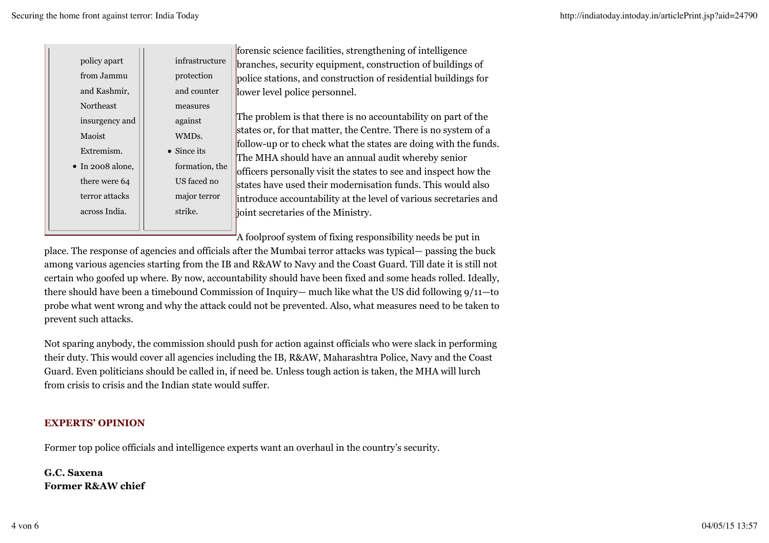| policy apart             | infrastructure      |
|--------------------------|---------------------|
| from Jammu               | protection          |
| and Kashmir,             | and counter         |
| Northeast                | measures            |
| insurgency and           | against             |
| Maoist                   | WMDs.               |
| Extremism.               | $\bullet$ Since its |
| $\bullet$ In 2008 alone, | formation, the      |
| there were 64            | US faced no         |
| terror attacks           | major terror        |
| across India.            | strike.             |
|                          |                     |

forensic science facilities, strengthening of intelligence branches, security equipment, construction of buildings of police stations, and construction of residential buildings for lower level police personnel.

The problem is that there is no accountability on part of the states or, for that matter, the Centre. There is no system of a follow-up or to check what the states are doing with the funds. The MHA should have an annual audit whereby senior officers personally visit the states to see and inspect how the states have used their modernisation funds. This would also introduce accountability at the level of various secretaries and joint secretaries of the Ministry.

A foolproof system of fixing responsibility needs be put in

place. The response of agencies and officials after the Mumbai terror attacks was typical— passing the buck among various agencies starting from the IB and R&AW to Navy and the Coast Guard. Till date it is still not certain who goofed up where. By now, accountability should have been fixed and some heads rolled. Ideally, there should have been a timebound Commission of Inquiry— much like what the US did following 9/11—to probe what went wrong and why the attack could not be prevented. Also, what measures need to be taken to prevent such attacks.

Not sparing anybody, the commission should push for action against officials who were slack in performing their duty. This would cover all agencies including the IB, R&AW, Maharashtra Police, Navy and the Coast Guard. Even politicians should be called in, if need be. Unless tough action is taken, the MHA will lurch from crisis to crisis and the Indian state would suffer.

# **EXPERTS' OPINION**

Former top police officials and intelligence experts want an overhaul in the country's security.

**G.C. Saxena Former R&AW chief**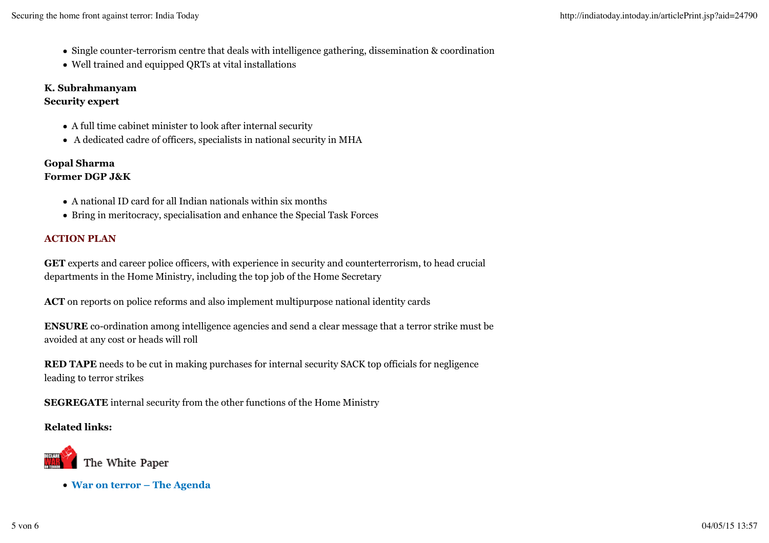- Single counter-terrorism centre that deals with intelligence gathering, dissemination & coordination
- Well trained and equipped QRTs at vital installations

## **K. Subrahmanyam**

## **Security expert**

- A full time cabinet minister to look after internal security
- A dedicated cadre of officers, specialists in national security in MHA

#### **Gopal Sharma Former DGP J&K**

- A national ID card for all Indian nationals within six months
- Bring in meritocracy, specialisation and enhance the Special Task Forces

# **ACTION PLAN**

**GET** experts and career police officers, with experience in security and counterterrorism, to head crucial departments in the Home Ministry, including the top job of the Home Secretary

**ACT** on reports on police reforms and also implement multipurpose national identity cards

**ENSURE** co-ordination among intelligence agencies and send a clear message that a terror strike must be avoided at any cost or heads will roll

**RED TAPE** needs to be cut in making purchases for internal security SACK top officials for negligence leading to terror strikes

**SEGREGATE** internal security from the other functions of the Home Ministry

# **Related links:**



**War on terror – The Agenda**